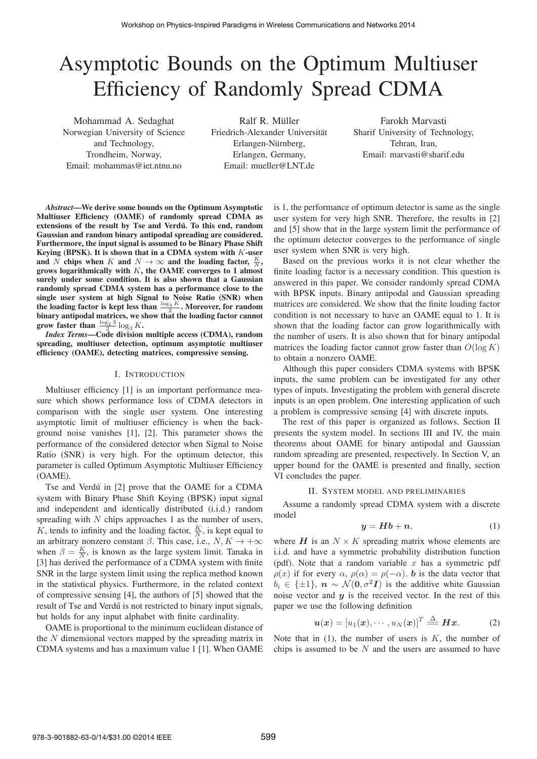# Asymptotic Bounds on the Optimum Multiuser Efficiency of Randomly Spread CDMA

Mohammad A. Sedaghat Norwegian University of Science and Technology, Trondheim, Norway, Email: mohammas@iet.ntnu.no

Ralf R. Müller Friedrich-Alexander Universitat¨ Erlangen-Nürnberg, Erlangen, Germany, Email: mueller@LNT.de

Farokh Marvasti Sharif University of Technology, Tehran, Iran, Email: marvasti@sharif.edu

*Abstract*—We derive some bounds on the Optimum Asymptotic Multiuser Efficiency (OAME) of randomly spread CDMA as extensions of the result by Tse and Verdú. To this end, random Gaussian and random binary antipodal spreading are considered. Furthermore, the input signal is assumed to be Binary Phase Shift Keying (BPSK). It is shown that in a CDMA system with  $K$ -user and N chips when K and  $N \to \infty$  and the loading factor,  $\frac{K}{N}$ , grows logarithmically with  $K$ , the OAME converges to 1 almost surely under some condition. It is also shown that a Gaussian randomly spread CDMA system has a performance close to the single user system at high Signal to Noise Ratio (SNR) when the loading factor is kept less than  $\frac{\log_3 K}{2}$ . Moreover, for random<br>binary antipodal matrices, we show that the loading factor cannot binary antipodal matrices, we show that the loading factor cannot grow faster than  $\frac{\log_2 3}{2} \log_3 K$ .<br>Index Terms—Code division

*Index Terms*—Code division multiple access (CDMA), random spreading, multiuser detection, optimum asymptotic multiuser efficiency (OAME), detecting matrices, compressive sensing.

# I. INTRODUCTION

Multiuser efficiency [1] is an important performance measure which shows performance loss of CDMA detectors in comparison with the single user system. One interesting asymptotic limit of multiuser efficiency is when the background noise vanishes [1], [2]. This parameter shows the performance of the considered detector when Signal to Noise Ratio (SNR) is very high. For the optimum detector, this parameter is called Optimum Asymptotic Multiuser Efficiency (OAME).

Tse and Verdú in [2] prove that the OAME for a CDMA system with Binary Phase Shift Keying (BPSK) input signal and independent and identically distributed (i.i.d.) random spreading with  $N$  chips approaches 1 as the number of users,  $\overline{K}$ , tends to infinity and the loading factor,  $\frac{K}{N}$ , is kept equal to an arbitrary nonzero constant  $β$ . This case, i.e.,  $N, K \rightarrow +\infty$ when  $\beta = \frac{K}{N}$ , is known as the large system limit. Tanaka in <br>[3] has derived the performance of a CDMA system with finite [3] has derived the performance of a CDMA system with finite SNR in the large system limit using the replica method known in the statistical physics. Furthermore, in the related context of compressive sensing [4], the authors of [5] showed that the result of Tse and Verdú is not restricted to binary input signals, but holds for any input alphabet with finite cardinality.

OAME is proportional to the minimum euclidean distance of the  $N$  dimensional vectors mapped by the spreading matrix in CDMA systems and has a maximum value 1 [1]. When OAME

is 1, the performance of optimum detector is same as the single user system for very high SNR. Therefore, the results in [2] and [5] show that in the large system limit the performance of the optimum detector converges to the performance of single user system when SNR is very high.

Based on the previous works it is not clear whether the finite loading factor is a necessary condition. This question is answered in this paper. We consider randomly spread CDMA with BPSK inputs. Binary antipodal and Gaussian spreading matrices are considered. We show that the finite loading factor condition is not necessary to have an OAME equal to 1. It is shown that the loading factor can grow logarithmically with the number of users. It is also shown that for binary antipodal matrices the loading factor cannot grow faster than  $O(\log K)$ to obtain a nonzero OAME.

Although this paper considers CDMA systems with BPSK inputs, the same problem can be investigated for any other types of inputs. Investigating the problem with general discrete inputs is an open problem. One interesting application of such a problem is compressive sensing [4] with discrete inputs.

The rest of this paper is organized as follows. Section II presents the system model. In sections III and IV, the main theorems about OAME for binary antipodal and Gaussian random spreading are presented, respectively. In Section V, an upper bound for the OAME is presented and finally, section VI concludes the paper.

# II. SYSTEM MODEL AND PRELIMINARIES

Assume a randomly spread CDMA system with a discrete model

$$
y = Hb + n,\tag{1}
$$

where  $H$  is an  $N \times K$  spreading matrix whose elements are i.i.d. and have a symmetric probability distribution function (pdf). Note that a random variable  $x$  has a symmetric pdf  $\rho(x)$  if for every  $\alpha$ ,  $\rho(\alpha) = \rho(-\alpha)$ . **b** is the data vector that  $b_i \in {\pm 1}$ ,  $n \sim \mathcal{N}(0, \sigma^2 I)$  is the additive white Gaussian noise vector and *y* is the received vector. In the rest of this paper we use the following definition

$$
\boldsymbol{u}(\boldsymbol{x}) = [u_1(\boldsymbol{x}), \cdots, u_N(\boldsymbol{x})]^T \stackrel{\Delta}{=} \boldsymbol{H}\boldsymbol{x}.
$$
 (2)

Note that in  $(1)$ , the number of users is  $K$ , the number of chips is assumed to be  $N$  and the users are assumed to have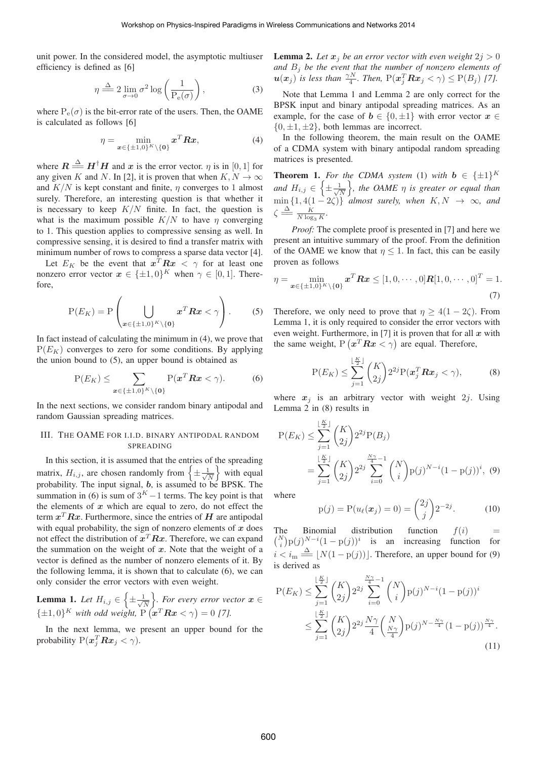unit power. In the considered model, the asymptotic multiuser efficiency is defined as [6]

$$
\eta \stackrel{\Delta}{\Longrightarrow} 2 \lim_{\sigma \to 0} \sigma^2 \log \left( \frac{1}{P_e(\sigma)} \right),\tag{3}
$$

where  $P_e(\sigma)$  is the bit-error rate of the users. Then, the OAME is calculated as follows [6]

$$
\eta = \min_{\boldsymbol{x} \in \{\pm 1,0\}^K \setminus \{\boldsymbol{0}\}} \boldsymbol{x}^T \boldsymbol{R} \boldsymbol{x},\tag{4}
$$

where  $\mathbf{R} \stackrel{\Delta}{=} \mathbf{H}^{\dagger} \mathbf{H}$  and  $\mathbf{x}$  is the error vector.  $\eta$  is in [0, 1] for any given K and N. In [2] it is proven that when  $K$ ,  $N \to \infty$ any given K and N. In [2], it is proven that when  $K, N \to \infty$ and  $K/N$  is kept constant and finite,  $\eta$  converges to 1 almost surely. Therefore, an interesting question is that whether it is necessary to keep  $K/N$  finite. In fact, the question is what is the maximum possible  $K/N$  to have  $\eta$  converging to 1. This question applies to compressive sensing as well. In compressive sensing, it is desired to find a transfer matrix with minimum number of rows to compress a sparse data vector [4].

Let  $E_K$  be the event that  $x^T R x < \gamma$  for at least one nonzero error vector  $x \in {\pm 1, 0}^K$  when  $\gamma \in [0, 1]$ . Therefore,

$$
P(E_K) = P\left(\bigcup_{\boldsymbol{x}\in\{\pm 1,0\}^K\setminus\{\boldsymbol{0}\}}\boldsymbol{x}^T\boldsymbol{R}\boldsymbol{x}<\gamma\right).
$$
 (5)

In fact instead of calculating the minimum in (4), we prove that  $P(E_K)$  converges to zero for some conditions. By applying the union bound to (5), an upper bound is obtained as

$$
P(E_K) \leq \sum_{\boldsymbol{x} \in \{\pm 1,0\}^K \setminus \{\boldsymbol{0}\}} P(\boldsymbol{x}^T \boldsymbol{R} \boldsymbol{x} < \gamma). \tag{6}
$$

In the next sections, we consider random binary antipodal and random Gaussian spreading matrices.

# III. THE OAME FOR I.I.D. BINARY ANTIPODAL RANDOM SPREADING

In this section, it is assumed that the entries of the spreading matrix,  $H_{i,j}$ , are chosen randomly from  $\left\{\pm\frac{1}{\sqrt{N}}\right\}$  $\}$  with equal probability. The input signal, *b*, is assumed to be BPSK. The summation in (6) is sum of  $3<sup>K</sup> - 1$  terms. The key point is that the elements of *x* which are equal to zero, do not effect the term  $x^T R x$ . Furthermore, since the entries of  $H$  are antipodal with equal probability, the sign of nonzero elements of *x* does not effect the distribution of  $x^T R x$ . Therefore, we can expand the summation on the weight of *x*. Note that the weight of a vector is defined as the number of nonzero elements of it. By the following lemma, it is shown that to calculate (6), we can only consider the error vectors with even weight.

**Lemma 1.** Let 
$$
H_{i,j} \in \left\{ \pm \frac{1}{\sqrt{N}} \right\}
$$
. For every error vector  $\mathbf{x} \in \left\{ \pm 1, 0 \right\}^K$  with odd weight,  $P(\mathbf{x}^T \mathbf{R} \mathbf{x} < \gamma) = 0$  [7].

In the next lemma, we present an upper bound for the probability  $P(x_j^T R x_j < \gamma)$ .

**Lemma 2.** Let  $x_j$  be an error vector with even weight  $2j > 0$ *and* B<sup>j</sup> *be the event that the number of nonzero elements of*  $u(x_j)$  *is less than*  $\frac{\gamma N}{4}$ *. Then,*  $P(x_j^T R x_j < \gamma) \leq P(B_j)$  [7]*.* 

Note that Lemma 1 and Lemma 2 are only correct for the BPSK input and binary antipodal spreading matrices. As an example, for the case of  $b \in \{0, \pm 1\}$  with error vector  $x \in$  $\{0, \pm 1, \pm 2\}$ , both lemmas are incorrect.

In the following theorem, the main result on the OAME of a CDMA system with binary antipodal random spreading matrices is presented.

**Theorem 1.** *For the CDMA system* (1) *with*  $\mathbf{b} \in {\{\pm 1\}}^K$ *and*  $H_{i,j} \in \left\{ \pm \frac{1}{\sqrt{N}} \right\}$  *, the OAME* η *is greater or equal than*  $\liminf_{\substack{K \to \infty}} \{1, 4(1-2\zeta)\}\n= \frac{K}{N \log_3 K}.$ <br>  $\zeta \stackrel{\Delta}{\Longrightarrow} \frac{K}{N \log_3 K}.$ 

*Proof:* The complete proof is presented in [7] and here we present an intuitive summary of the proof. From the definition of the OAME we know that  $\eta \leq 1$ . In fact, this can be easily proven as follows

$$
\eta = \min_{\mathbf{x} \in \{\pm 1, 0\}^K \setminus \{\mathbf{0}\}} \mathbf{x}^T \mathbf{R} \mathbf{x} \le [1, 0, \cdots, 0] \mathbf{R} [1, 0, \cdots, 0]^T = 1.
$$
\n(7)

Therefore, we only need to prove that  $\eta > 4(1 - 2\zeta)$ . From Lemma 1, it is only required to consider the error vectors with even weight. Furthermore, in [7] it is proven that for all *x* with the same weight,  $P(x^T R x < \gamma)$  are equal. Therefore,

$$
P(E_K) \le \sum_{j=1}^{\lfloor \frac{K}{2} \rfloor} {K \choose 2j} 2^{2j} P(\boldsymbol{x}_j^T \boldsymbol{R} \boldsymbol{x}_j < \gamma), \tag{8}
$$

where  $x_j$  is an arbitrary vector with weight 2*j*. Using Lemma 2 in (8) results in

$$
P(E_K) \leq \sum_{j=1}^{\lfloor \frac{K}{2} \rfloor} {K \choose 2j} 2^{2j} P(B_j)
$$
  
= 
$$
\sum_{j=1}^{\lfloor \frac{K}{2} \rfloor} {K \choose 2j} 2^{2j} \sum_{i=0}^{\frac{N\gamma}{4}-1} {N \choose i} p(j)^{N-i} (1-p(j))^i
$$
, (9)

where

$$
p(j) = P(u_{\ell}(\boldsymbol{x}_j) = 0) = \binom{2j}{j} 2^{-2j}.
$$
 (10)

The Binomial distribution function  $f(i) = {N \choose i} p(j)^{N-i} (1-p(j))^i$  is an increasing function for  $i < i_{\text{m}} \stackrel{\Delta}{=} \lfloor N(1 - p(j)) \rfloor$ . Therefore, an upper bound for (9) is derived as

$$
P(E_K) \leq \sum_{j=1}^{\lfloor \frac{K}{2} \rfloor} {K \choose 2j} 2^{2j} \sum_{i=0}^{\frac{N\gamma}{4}-1} {N \choose i} p(j)^{N-i} (1-p(j))^i
$$
  

$$
\leq \sum_{j=1}^{\lfloor \frac{K}{2} \rfloor} {K \choose 2j} 2^{2j} \frac{N\gamma}{4} {N \choose \frac{N\gamma}{4}} p(j)^{N-\frac{N\gamma}{4}} (1-p(j))^{\frac{N\gamma}{4}}.
$$
(11)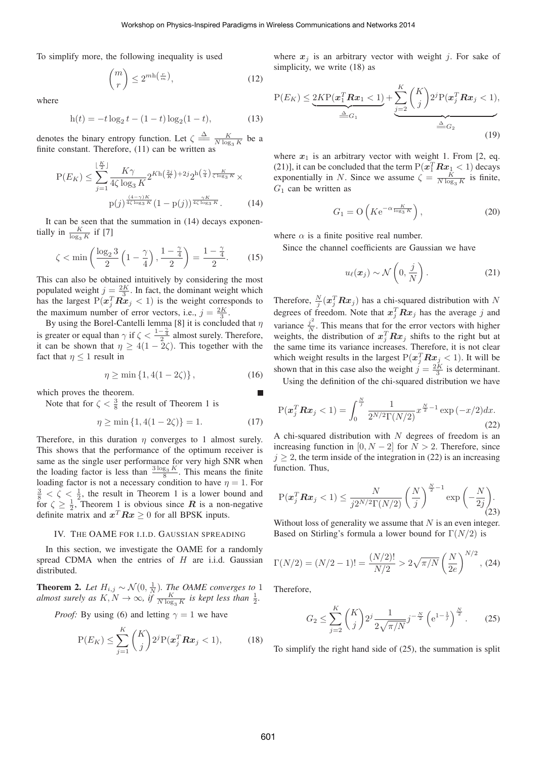To simplify more, the following inequality is used

$$
\binom{m}{r} \le 2^{m \ln \left(\frac{r}{m}\right)},\tag{12}
$$

where

$$
h(t) = -t \log_2 t - (1 - t) \log_2 (1 - t),
$$
\n(13)

denotes the binary entropy function. Let  $\zeta \triangleq \frac{K}{N \log_3 K}$  be a finite constant. Therefore (11) can be written as finite constant. Therefore, (11) can be written as

$$
P(E_K) \le \sum_{j=1}^{\lfloor \frac{K}{2} \rfloor} \frac{K\gamma}{4\zeta \log_3 K} 2^{Kh\left(\frac{2j}{K}\right) + 2j} 2^{h\left(\frac{\gamma}{4}\right) \frac{K}{\zeta \log_3 K}} \times p(j)^{\frac{(4-\gamma)K}{4\zeta \log_3 K}} (1 - p(j))^{\frac{\gamma K}{4\zeta \log_3 K}}.
$$
 (14)

It can be seen that the summation in (14) decays exponentially in  $\frac{K}{\log_3 K}$  if [7]

$$
\zeta < \min\left(\frac{\log_2 3}{2}\left(1 - \frac{\gamma}{4}\right), \frac{1 - \frac{\gamma}{4}}{2}\right) = \frac{1 - \frac{\gamma}{4}}{2}.\tag{15}
$$

This can also be obtained intuitively by considering the most populated weight  $j = \frac{2K}{3}$ . In fact, the dominant weight which<br>has the largest  $P(rT R x \le 1)$  is the weight corresponds to has the largest  $P(x_j^T R x_j < 1)$  is the weight corresponds to the maximum number of error vectors i.e.  $i = \lambda K$ the maximum number of error vectors, i.e.,  $j = \frac{2K}{3}$ .<br>By using the Borel-Cantelli lemma [8] it is conclude

By using the Borel-Cantelli lemma [8] it is concluded that  $\eta$ is greater or equal than  $\gamma$  if  $\zeta < \frac{1-\frac{\gamma}{4}}{2}$  almost surely. Therefore, it can be shown that  $n > 4(1-2\zeta)$  This together with the it can be shown that  $\eta \geq 4(1 - 2\zeta)$ . This together with the fact that  $n \leq 1$  result in fact that  $\eta \leq 1$  result in

$$
\eta \ge \min\{1, 4(1 - 2\zeta)\},\tag{16}
$$

which proves the theorem.

Note that for  $\zeta < \frac{3}{8}$  the result of Theorem 1 is

$$
\eta \ge \min\{1, 4(1 - 2\zeta)\} = 1.
$$
 (17)

Therefore, in this duration  $\eta$  converges to 1 almost surely. This shows that the performance of the optimum receiver is same as the single user performance for very high SNR when the loading factor is less than  $\frac{3 \log_3 K}{8}$ . This means the finite loading factor is not a necessary condition to have  $n-1$ . For loading factor is not a necessary condition to have  $\eta = 1$ . For  $\frac{3}{8} < \zeta < \frac{1}{2}$ , the result in Theorem 1 is a lower bound and for  $\zeta \geq \frac{1}{2}$ , Theorem 1 is obvious since *R* is a non-negative definite matrix and  $x^T R x > 0$  for all RPSK inputs definite matrix and  $x^T R x \ge 0$  for all BPSK inputs.

#### IV. THE OAME FOR I.I.D. GAUSSIAN SPREADING

In this section, we investigate the OAME for a randomly spread CDMA when the entries of  $H$  are i.i.d. Gaussian distributed.

**Theorem 2.** *Let*  $H_{i,j} \sim \mathcal{N}(0, \frac{1}{N})$ *. The OAME converges to* 1 *almost surely as*  $K, N \to \infty$ *, if*  $\frac{K}{N \log_3 K}$  *is kept less than*  $\frac{1}{2}$ *.* 

*Proof:* By using (6) and letting  $\gamma = 1$  we have

$$
P(E_K) \le \sum_{j=1}^K {K \choose j} 2^j P(\boldsymbol{x}_j^T \boldsymbol{R} \boldsymbol{x}_j < 1),\tag{18}
$$

where  $x_j$  is an arbitrary vector with weight j. For sake of simplicity, we write (18) as

$$
P(E_K) \leq \underbrace{2KP(\boldsymbol{x}_1^T\boldsymbol{R}\boldsymbol{x}_1 < 1)}_{\triangleq G_1} + \underbrace{\sum_{j=2}^K \binom{K}{j} 2^j P(\boldsymbol{x}_j^T\boldsymbol{R}\boldsymbol{x}_j < 1)}_{\triangleq G_2},\tag{19}
$$

where  $x_1$  is an arbitrary vector with weight 1. From [2, eq. (21)], it can be concluded that the term  $P(\vec{x}_1^T R \vec{x}_1 < 1)$  decays exponentially in N. Since we assume  $\zeta = \frac{K}{N \log_3 K}$  is finite,  $G_1$  can be written as

$$
G_1 = \mathcal{O}\left(K e^{-\alpha \frac{K}{\log_3 K}}\right),\tag{20}
$$

where  $\alpha$  is a finite positive real number.

Since the channel coefficients are Gaussian we have

$$
u_{\ell}(\boldsymbol{x}_j) \sim \mathcal{N}\left(0, \frac{j}{N}\right). \tag{21}
$$

Therefore,  $\frac{N}{j}(\mathbf{x}_j^T \mathbf{R} \mathbf{x}_j)$  has a chi-squared distribution with N<br>degrees of freedom. Note that  $\mathbf{x}_j^T \mathbf{R} \mathbf{x}_j$  has the sygmon i and degrees of freedom. Note that  $x_j^T R x_j$  has the average j and variance  $\frac{j^2}{N}$ . This means that for the error vectors with higher weights, the distribution of  $x_j^T R x_j$  shifts to the right but at the same time its variance increases. Therefore, it is not clear which weight results in the largest  $P(x_j^T R x_j < 1)$ . It will be shown that in this case also the weight  $i = {}^{2K}$  is determinant shown that in this case also the weight  $\vec{j} = \frac{2K}{3}$  is determinant.

Using the definition of the chi-squared distribution we have

$$
P(\boldsymbol{x}_j^T \boldsymbol{R} \boldsymbol{x}_j < 1) = \int_0^{\frac{N}{j}} \frac{1}{2^{N/2} \Gamma(N/2)} x^{\frac{N}{2} - 1} \exp\left(-\frac{x}{2}\right) dx. \tag{22}
$$

A chi-squared distribution with  $N$  degrees of freedom is an increasing function in [0,  $N - 2$ ] for  $N > 2$ . Therefore, since  $j \geq 2$ , the term inside of the integration in (22) is an increasing function. Thus,

$$
\mathbf{P}(\boldsymbol{x}_j^T \boldsymbol{R} \boldsymbol{x}_j < 1) \le \frac{N}{j2^{N/2} \Gamma(N/2)} \left(\frac{N}{j}\right)^{\frac{N}{2}-1} \exp\left(-\frac{N}{2j}\right). \tag{23}
$$

Without loss of generality we assume that  $N$  is an even integer. Based on Stirling's formula a lower bound for  $\Gamma(N/2)$  is

$$
\Gamma(N/2) = (N/2 - 1)! = \frac{(N/2)!}{N/2} > 2\sqrt{\pi/N} \left(\frac{N}{2e}\right)^{N/2},
$$
 (24)

Therefore,

$$
G_2 \le \sum_{j=2}^K {K \choose j} 2^j \frac{1}{2\sqrt{\pi/N}} j^{-\frac{N}{2}} \left( e^{1 - \frac{1}{j}} \right)^{\frac{N}{2}}.
$$
 (25)

To simplify the right hand side of (25), the summation is split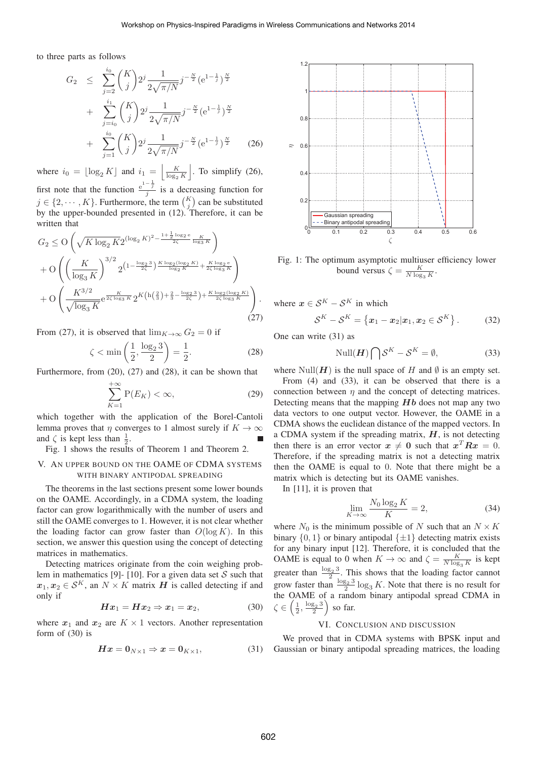to three parts as follows

$$
G_2 \leq \sum_{j=2}^{i_0} {K \choose j} 2^j \frac{1}{2\sqrt{\pi/N}} j^{-\frac{N}{2}} (e^{1-\frac{1}{j}})^{\frac{N}{2}} + \sum_{j=i_0}^{i_1} {K \choose j} 2^j \frac{1}{2\sqrt{\pi/N}} j^{-\frac{N}{2}} (e^{1-\frac{1}{j}})^{\frac{N}{2}} + \sum_{j=1}^{i_0} {K \choose j} 2^j \frac{1}{2\sqrt{\pi/N}} j^{-\frac{N}{2}} (e^{1-\frac{1}{j}})^{\frac{N}{2}} \qquad (26)
$$

where  $i_0 = \lfloor \log_2 K \rfloor$  and  $i_1 = \lfloor \frac{K}{\log_2} \rfloor$  $log_2 K$  . To simplify (26), first note that the function  $\frac{e^{-\frac{1}{j}}}{j}$  is a decreasing function for  $j \in \{2, \dots, K\}$ . Furthermore, the term  $\binom{K}{j}$  can be substituted<br>by the unper-bounded presented in (12). Therefore, it can be by the upper-bounded presented in (12). Therefore, it can be written that

$$
G_2 \leq O\left(\sqrt{K\log_2 K} 2^{(\log_2 K)^2 - \frac{1 + \frac{1}{2}\log_2 e}{2\zeta}} \frac{K}{\log_3 K}\right) + O\left(\left(\frac{K}{\log_3 K}\right)^{3/2} 2^{\left(1 - \frac{\log_2 3}{2\zeta}\right) \frac{K \log_2(\log_2 K)}{\log_2 K} + \frac{K \log_2 e}{2\zeta \log_3 K}}\right) + O\left(\frac{K^{3/2}}{\sqrt{\log_3 K}} e^{\frac{K}{2\zeta \log_3 K}} 2^{K\left(h\left(\frac{2}{3}\right) + \frac{2}{3} - \frac{\log_2 3}{2\zeta}\right) + \frac{K \log_2(\log_2 K)}{2\zeta \log_3 K}}\right).
$$
\n(27)

From (27), it is observed that  $\lim_{K\to\infty} G_2 = 0$  if

$$
\zeta < \min\left(\frac{1}{2}, \frac{\log_2 3}{2}\right) = \frac{1}{2}.\tag{28}
$$

Furthermore, from (20), (27) and (28), it can be shown that

$$
\sum_{K=1}^{+\infty} \mathcal{P}(E_K) < \infty,\tag{29}
$$

which together with the application of the Borel-Cantoli lemma proves that  $\eta$  converges to 1 almost surely if  $K \to \infty$ and  $\zeta$  is kept less than  $\frac{1}{2}$ .<br>Fig. 1 shows the results

Fig. 1 shows the results of Theorem 1 and Theorem 2.

#### V. AN UPPER BOUND ON THE OAME OF CDMA SYSTEMS WITH BINARY ANTIPODAL SPREADING

The theorems in the last sections present some lower bounds on the OAME. Accordingly, in a CDMA system, the loading factor can grow logarithmically with the number of users and still the OAME converges to 1. However, it is not clear whether the loading factor can grow faster than  $O(\log K)$ . In this section, we answer this question using the concept of detecting matrices in mathematics.

Detecting matrices originate from the coin weighing problem in mathematics [9]- [10]. For a given data set  $S$  such that  $x_1, x_2 \in S^K$ , an  $N \times K$  matrix *H* is called detecting if and only if

$$
Hx_1 = Hx_2 \Rightarrow x_1 = x_2,\tag{30}
$$

where  $x_1$  and  $x_2$  are  $K \times 1$  vectors. Another representation form of (30) is

$$
Hx = 0_{N \times 1} \Rightarrow x = 0_{K \times 1}, \tag{31}
$$



Fig. 1: The optimum asymptotic multiuser efficiency lower bound versus  $\zeta = \frac{K}{N \log_3 K}$ .

where  $x \in \mathcal{S}^K - \mathcal{S}^K$  in which

$$
\mathcal{S}^K - \mathcal{S}^K = \left\{ \boldsymbol{x}_1 - \boldsymbol{x}_2 | \boldsymbol{x}_1, \boldsymbol{x}_2 \in \mathcal{S}^K \right\}. \tag{32}
$$

One can write (31) as

$$
\text{Null}(\boldsymbol{H}) \bigcap \mathcal{S}^K - \mathcal{S}^K = \emptyset,
$$
\n(33)

where Null( $H$ ) is the null space of H and  $\emptyset$  is an empty set.

From (4) and (33), it can be observed that there is a connection between  $\eta$  and the concept of detecting matrices. Detecting means that the mapping *Hb* does not map any two data vectors to one output vector. However, the OAME in a CDMA shows the euclidean distance of the mapped vectors. In a CDMA system if the spreading matrix, *H*, is not detecting then there is an error vector  $x \neq 0$  such that  $x^T R x = 0$ . Therefore, if the spreading matrix is not a detecting matrix then the OAME is equal to 0. Note that there might be a matrix which is detecting but its OAME vanishes.

In [11], it is proven that

$$
\lim_{K \to \infty} \frac{N_0 \log_2 K}{K} = 2,\tag{34}
$$

where  $N_0$  is the minimum possible of N such that an  $N \times K$ binary  $\{0, 1\}$  or binary antipodal  $\{\pm 1\}$  detecting matrix exists for any binary input [12]. Therefore, it is concluded that the OAME is equal to 0 when  $K \to \infty$  and  $\zeta = \frac{K}{N \log_3 K}$  is kept greater than  $\frac{\log_2 3}{2}$ . This shows that the loading factor cannot<br>grow faster than  $\frac{\log_2 3}{2} \log_3 K$ . Note that there is no result for<br>the OAME of a random binary antipodal spread CDMA in the OAME of a random binary antipodal spread CDMA in  $\zeta \in \left(\frac{1}{2}, \frac{\log_2 3}{2}\right)$  so far.

# VI. CONCLUSION AND DISCUSSION

We proved that in CDMA systems with BPSK input and Gaussian or binary antipodal spreading matrices, the loading